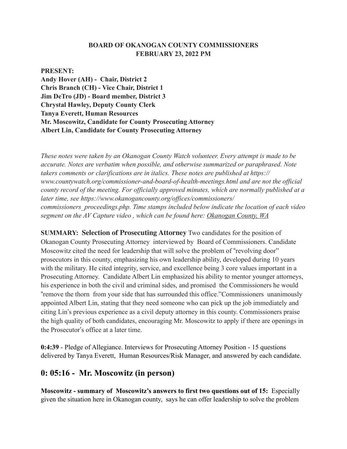#### **BOARD OF OKANOGAN COUNTY COMMISSIONERS FEBRUARY 23, 2022 PM**

#### **PRESENT:**

**Andy Hover (AH) - Chair, District 2 Chris Branch (CH) - Vice Chair, District 1 Jim DeTro (JD) - Board member, District 3 Chrystal Hawley, Deputy County Clerk Tanya Everett, Human Resources Mr. Moscowitz, Candidate for County Prosecuting Attorney Albert Lin, Candidate for County Prosecuting Attorney**

*These notes were taken by an Okanogan County Watch volunteer. Every attempt is made to be accurate. Notes are verbatim when possible, and otherwise summarized or paraphrased. Note takers comments or clarifications are in italics. These notes are published at https:// www.countywatch.org/commissioner-and-board-of-health-meetings.html and are not the official county record of the meeting. For officially approved minutes, which are normally published at a later time, see https://www.okanogancounty.org/offices/commissioners/ commissioners\_proceedings.php. Time stamps included below indicate the location of each video segment on the AV Capture video , which can be found here: [Okanogan County, WA](https://www.okanogancounty.org/departments/boards/live_streaming_of_meetings.php)*

**SUMMARY: Selection of Prosecuting Attorney** Two candidates for the position of Okanogan County Prosecuting Attorney interviewed by Board of Commissioners. Candidate Moscowitz cited the need for leadership that will solve the problem of "revolving door" prosecutors in this county, emphasizing his own leadership ability, developed during 10 years with the military. He cited integrity, service, and excellence being 3 core values important in a Prosecuting Attorney. Candidate Albert Lin emphasized his ability to mentor younger attorneys, his experience in both the civil and criminal sides, and promised the Commissioners he would !remove the thorn from your side that has surrounded this office."Commissioners unanimously appointed Albert Lin, stating that they need someone who can pick up the job immediately and citing Lin"s previous experience as a civil deputy attorney in this county. Commissioners praise the high quality of both candidates, encouraging Mr. Moscowitz to apply if there are openings in the Prosecutor"s office at a later time.

**0:4:39** - Pledge of Allegiance. Interviews for Prosecuting Attorney Position - 15 questions delivered by Tanya Everett, Human Resources/Risk Manager, and answered by each candidate.

# **0: 05:16 - Mr. Moscowitz (in person)**

**Moscowitz - summary of Moscowitz's answers to first two questions out of 15:** Especially given the situation here in Okanogan county, says he can offer leadership to solve the problem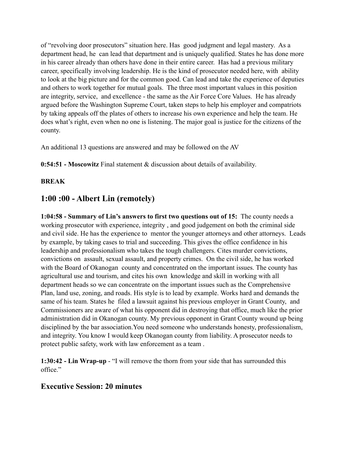of "revolving door prosecutors" situation here. Has good judgment and legal mastery. As a department head, he can lead that department and is uniquely qualified. States he has done more in his career already than others have done in their entire career. Has had a previous military career, specifically involving leadership. He is the kind of prosecutor needed here, with ability to look at the big picture and for the common good. Can lead and take the experience of deputies and others to work together for mutual goals. The three most important values in this position are integrity, service, and excellence - the same as the Air Force Core Values. He has already argued before the Washington Supreme Court, taken steps to help his employer and compatriots by taking appeals off the plates of others to increase his own experience and help the team. He does what's right, even when no one is listening. The major goal is justice for the citizens of the county.

An additional 13 questions are answered and may be followed on the AV

**0:54:51 - Moscowitz** Final statement & discussion about details of availability.

#### **BREAK**

# **1:00 :00 - Albert Lin (remotely)**

**1:04:58 - Summary of Lin's answers to first two questions out of 15:** The county needs a working prosecutor with experience, integrity , and good judgement on both the criminal side and civil side. He has the experience to mentor the younger attorneys and other attorneys. Leads by example, by taking cases to trial and succeeding. This gives the office confidence in his leadership and professionalism who takes the tough challengers. Cites murder convictions, convictions on assault, sexual assault, and property crimes. On the civil side, he has worked with the Board of Okanogan county and concentrated on the important issues. The county has agricultural use and tourism, and cites his own knowledge and skill in working with all department heads so we can concentrate on the important issues such as the Comprehensive Plan, land use, zoning, and roads. His style is to lead by example. Works hard and demands the same of his team. States he filed a lawsuit against his previous employer in Grant County, and Commissioners are aware of what his opponent did in destroying that office, much like the prior administration did in Okanogan county. My previous opponent in Grant County wound up being disciplined by the bar association.You need someone who understands honesty, professionalism, and integrity. You know I would keep Okanogan county from liability. A prosecutor needs to protect public safety, work with law enforcement as a team .

**1:30:42 - Lin Wrap-up** - "I will remove the thorn from your side that has surrounded this office."

### **Executive Session: 20 minutes**